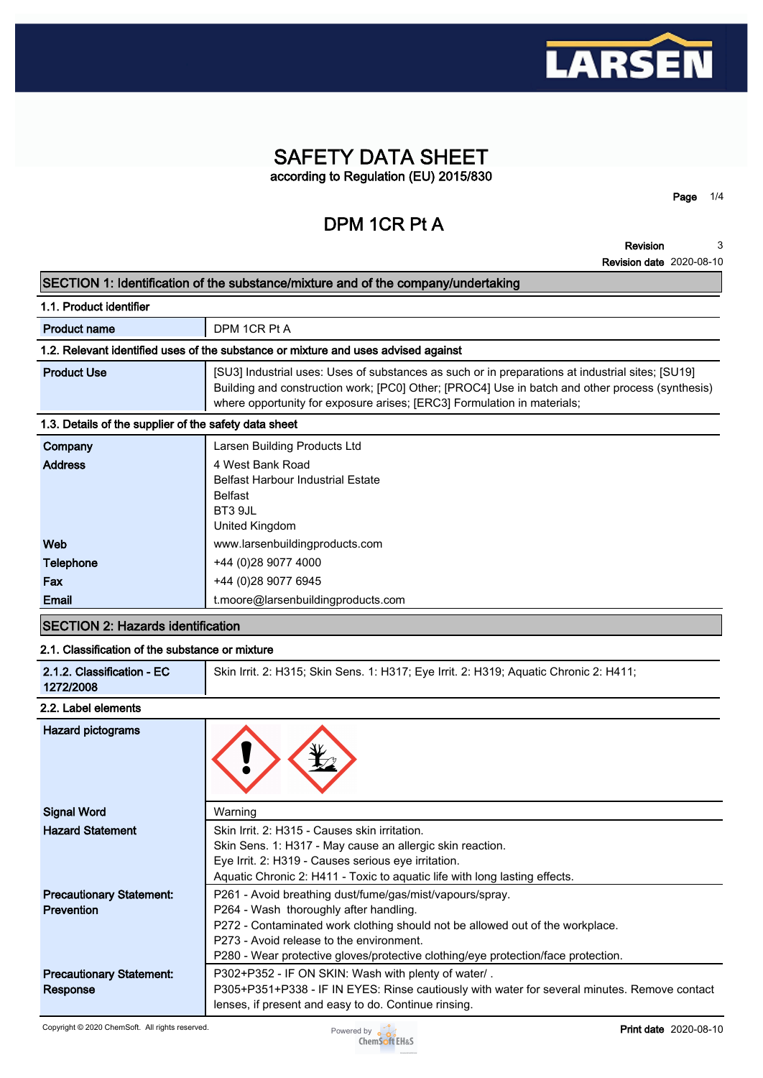

### **SAFETY DATA SHEET according to Regulation (EU) 2015/830**

**DPM 1CR Pt A**

**Revision 3**

**Page 1/4**

**Revision date 2020-08-10**

#### **SECTION 1: Identification of the substance/mixture and of the company/undertaking**

**1.1. Product identifier**

**Product name DPM 1CR Pt A** 

#### **1.2. Relevant identified uses of the substance or mixture and uses advised against**

| <b>Product Use</b> | [SU3] Industrial uses: Uses of substances as such or in preparations at industrial sites; [SU19] |
|--------------------|--------------------------------------------------------------------------------------------------|
|                    | Building and construction work; [PC0] Other; [PROC4] Use in batch and other process (synthesis)  |
|                    | where opportunity for exposure arises; [ERC3] Formulation in materials;                          |

#### **1.3. Details of the supplier of the safety data sheet**

| Company          | Larsen Building Products Ltd             |
|------------------|------------------------------------------|
| <b>Address</b>   | 4 West Bank Road                         |
|                  | <b>Belfast Harbour Industrial Estate</b> |
|                  | <b>Belfast</b>                           |
|                  | BT3 9JL                                  |
|                  | United Kingdom                           |
| Web              | www.larsenbuildingproducts.com           |
| <b>Telephone</b> | +44 (0) 28 9077 4000                     |
| Fax              | +44 (0) 28 9077 6945                     |
| Email            | t.moore@larsenbuildingproducts.com       |
|                  |                                          |

### **SECTION 2: Hazards identification**

### **2.1. Classification of the substance or mixture**

| 2.1.2. Classification - EC<br>Skin Irrit. 2: H315; Skin Sens. 1: H317; Eye Irrit. 2: H319; Aquatic Chronic 2: H411;<br>1272/2008 |
|----------------------------------------------------------------------------------------------------------------------------------|
|----------------------------------------------------------------------------------------------------------------------------------|

#### **2.2. Label elements**

| <b>Hazard pictograms</b>        |                                                                                              |
|---------------------------------|----------------------------------------------------------------------------------------------|
| <b>Signal Word</b>              | Warning                                                                                      |
| <b>Hazard Statement</b>         | Skin Irrit. 2: H315 - Causes skin irritation.                                                |
|                                 | Skin Sens. 1: H317 - May cause an allergic skin reaction.                                    |
|                                 | Eye Irrit. 2: H319 - Causes serious eye irritation.                                          |
|                                 | Aquatic Chronic 2: H411 - Toxic to aquatic life with long lasting effects.                   |
| <b>Precautionary Statement:</b> | P261 - Avoid breathing dust/fume/gas/mist/vapours/spray.                                     |
| Prevention                      | P264 - Wash thoroughly after handling.                                                       |
|                                 | P272 - Contaminated work clothing should not be allowed out of the workplace.                |
|                                 | P273 - Avoid release to the environment.                                                     |
|                                 | P280 - Wear protective gloves/protective clothing/eye protection/face protection.            |
| <b>Precautionary Statement:</b> | P302+P352 - IF ON SKIN: Wash with plenty of water/.                                          |
| Response                        | P305+P351+P338 - IF IN EYES: Rinse cautiously with water for several minutes. Remove contact |
|                                 | lenses, if present and easy to do. Continue rinsing.                                         |

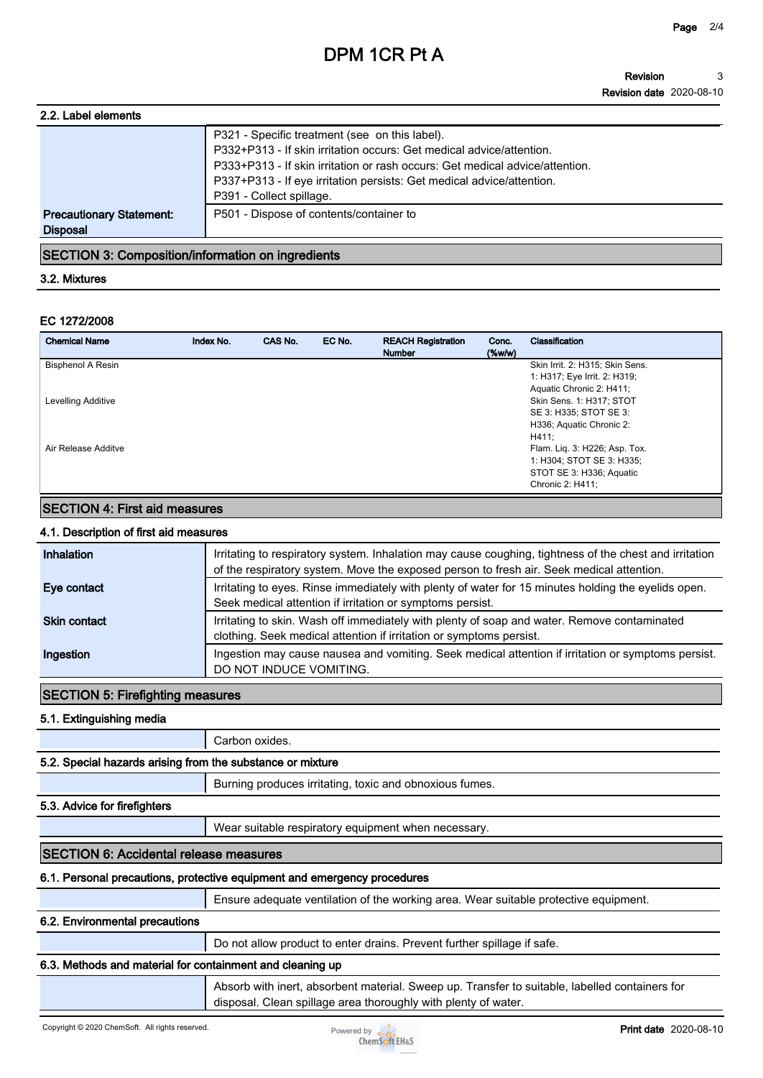## **DPM 1CR Pt A**

| 2.2. Label elements             |                                                                              |
|---------------------------------|------------------------------------------------------------------------------|
|                                 | P321 - Specific treatment (see on this label).                               |
|                                 | P332+P313 - If skin irritation occurs: Get medical advice/attention.         |
|                                 | P333+P313 - If skin irritation or rash occurs: Get medical advice/attention. |
|                                 | P337+P313 - If eye irritation persists: Get medical advice/attention.        |
|                                 | P391 - Collect spillage.                                                     |
| <b>Precautionary Statement:</b> | P501 - Dispose of contents/container to                                      |
| <b>Disposal</b>                 |                                                                              |
|                                 |                                                                              |

### **SECTION 3: Composition/information on ingredients**

|  | 3.2. Mixtures |  |
|--|---------------|--|
|--|---------------|--|

#### **EC 1272/2008**

| <b>Chemical Name</b>     | Index No. | CAS No. | EC No. | <b>REACH Registration</b><br><b>Number</b> | Conc.<br>$(\%w/w)$ | Classification                  |
|--------------------------|-----------|---------|--------|--------------------------------------------|--------------------|---------------------------------|
| <b>Bisphenol A Resin</b> |           |         |        |                                            |                    | Skin Irrit. 2: H315; Skin Sens. |
|                          |           |         |        |                                            |                    | 1: H317; Eye Irrit. 2: H319;    |
|                          |           |         |        |                                            |                    | Aquatic Chronic 2: H411;        |
| Levelling Additive       |           |         |        |                                            |                    | Skin Sens. 1: H317; STOT        |
|                          |           |         |        |                                            |                    | SE 3: H335; STOT SE 3:          |
|                          |           |         |        |                                            |                    | H336; Aquatic Chronic 2:        |
|                          |           |         |        |                                            |                    | H411:                           |
| Air Release Additve      |           |         |        |                                            |                    | Flam. Lig. 3: H226; Asp. Tox.   |
|                          |           |         |        |                                            |                    | 1: H304; STOT SE 3: H335;       |
|                          |           |         |        |                                            |                    | STOT SE 3: H336; Aquatic        |
|                          |           |         |        |                                            |                    | Chronic 2: H411:                |

### **SECTION 4: First aid measures**

#### **4.1. Description of first aid measures**

| Inhalation          | Irritating to respiratory system. Inhalation may cause coughing, tightness of the chest and irritation<br>of the respiratory system. Move the exposed person to fresh air. Seek medical attention. |
|---------------------|----------------------------------------------------------------------------------------------------------------------------------------------------------------------------------------------------|
| Eye contact         | Irritating to eyes. Rinse immediately with plenty of water for 15 minutes holding the eyelids open.<br>Seek medical attention if irritation or symptoms persist.                                   |
| <b>Skin contact</b> | Irritating to skin. Wash off immediately with plenty of soap and water. Remove contaminated<br>clothing. Seek medical attention if irritation or symptoms persist.                                 |
| Ingestion           | Ingestion may cause nausea and vomiting. Seek medical attention if irritation or symptoms persist.<br>DO NOT INDUCE VOMITING.                                                                      |

### **SECTION 5: Firefighting measures**

**5.1. Extinguishing media**

|                                                                          | Carbon oxides.                                                                       |  |
|--------------------------------------------------------------------------|--------------------------------------------------------------------------------------|--|
| 5.2. Special hazards arising from the substance or mixture               |                                                                                      |  |
|                                                                          | Burning produces irritating, toxic and obnoxious fumes.                              |  |
| 5.3. Advice for firefighters                                             |                                                                                      |  |
|                                                                          | Wear suitable respiratory equipment when necessary.                                  |  |
| <b>SECTION 6: Accidental release measures</b>                            |                                                                                      |  |
| 6.1. Personal precautions, protective equipment and emergency procedures |                                                                                      |  |
|                                                                          | Ensure adequate ventilation of the working area. Wear suitable protective equipment. |  |
| 6.2. Environmental precautions                                           |                                                                                      |  |

**Do not allow product to enter drains. Prevent further spillage if safe.**

### **6.3. Methods and material for containment and cleaning up**

**Absorb with inert, absorbent material. Sweep up. Transfer to suitable, labelled containers for disposal. Clean spillage area thoroughly with plenty of water.**

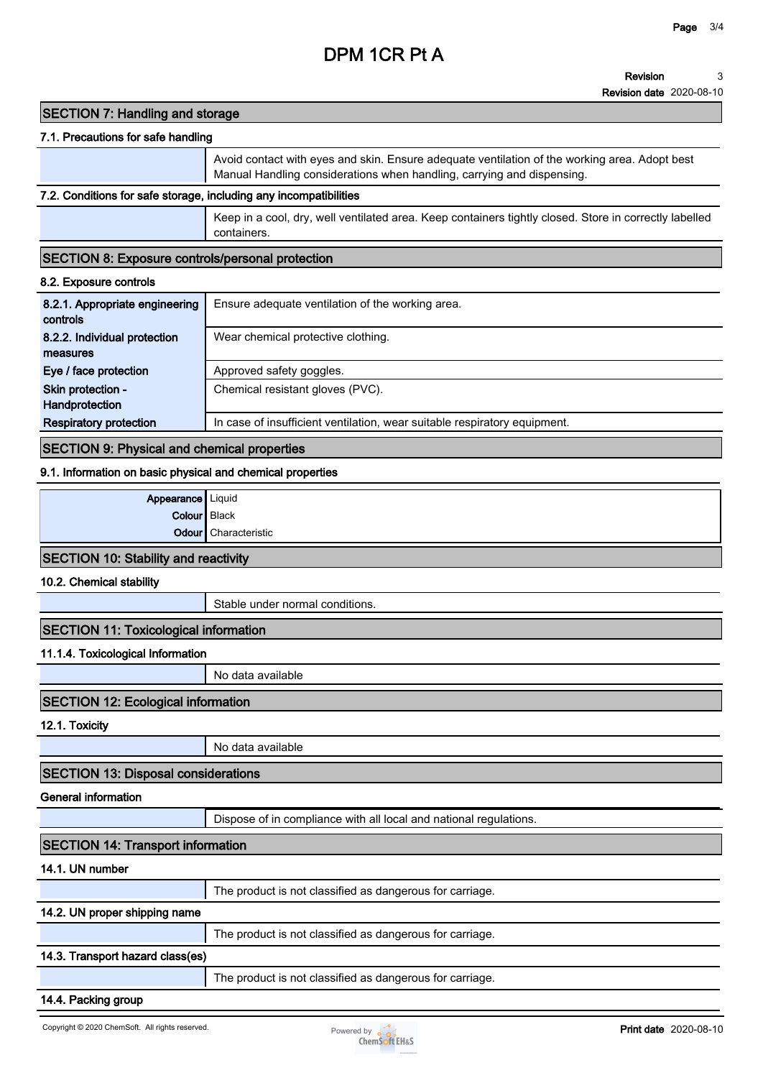## **DPM 1CR Pt A**

#### **Revision 3**

**Revision date 2020-08-10**

#### **SECTION 7: Handling and storage**

#### **7.1. Precautions for safe handling**

**Avoid contact with eyes and skin. Ensure adequate ventilation of the working area. Adopt best Manual Handling considerations when handling, carrying and dispensing.**

#### **7.2. Conditions for safe storage, including any incompatibilities**

**Keep in a cool, dry, well ventilated area. Keep containers tightly closed. Store in correctly labelled containers.**

#### **SECTION 8: Exposure controls/personal protection**

#### **8.2. Exposure controls**

| 8.2.1. Appropriate engineering<br>controls | Ensure adequate ventilation of the working area.                          |
|--------------------------------------------|---------------------------------------------------------------------------|
| 8.2.2. Individual protection               | Wear chemical protective clothing.                                        |
| measures                                   |                                                                           |
| Eye / face protection                      | Approved safety goggles.                                                  |
| Skin protection -                          | Chemical resistant gloves (PVC).                                          |
| Handprotection                             |                                                                           |
| <b>Respiratory protection</b>              | In case of insufficient ventilation, wear suitable respiratory equipment. |

#### **SECTION 9: Physical and chemical properties**

#### **9.1. Information on basic physical and chemical properties**

| Appearance Liquid                           |                             |
|---------------------------------------------|-----------------------------|
| Colour Black                                |                             |
|                                             | <b>Odour</b> Characteristic |
| <b>SECTION 10: Stability and reactivity</b> |                             |

#### **10.2. Chemical stability**

**Stable under normal conditions.**

#### **SECTION 11: Toxicological information**

#### **11.1.4. Toxicological Information**

**No data available**

#### **SECTION 12: Ecological information**

**12.1. Toxicity**

**No data available**

#### **SECTION 13: Disposal considerations**

**General information**

**Dispose of in compliance with all local and national regulations.**

#### **SECTION 14: Transport information**

#### **14.1. UN number**

**The product is not classified as dangerous for carriage.**

#### **14.2. UN proper shipping name**

**The product is not classified as dangerous for carriage.**

#### **14.3. Transport hazard class(es)**

**The product is not classified as dangerous for carriage.**

#### **14.4. Packing group**

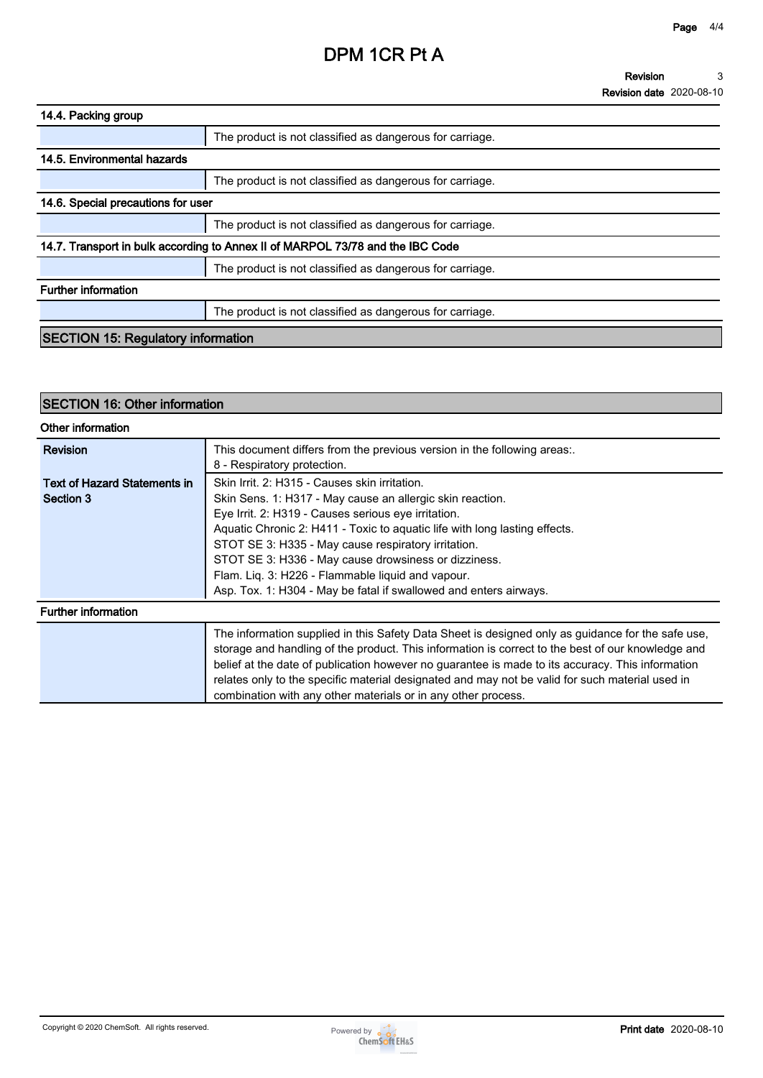## **DPM 1CR Pt A**

#### **Revision 3**

**Revision date 2020-08-10**

| 14.4. Packing group                                                            |                                                          |  |
|--------------------------------------------------------------------------------|----------------------------------------------------------|--|
|                                                                                | The product is not classified as dangerous for carriage. |  |
| 14.5. Environmental hazards                                                    |                                                          |  |
|                                                                                | The product is not classified as dangerous for carriage. |  |
| 14.6. Special precautions for user                                             |                                                          |  |
|                                                                                | The product is not classified as dangerous for carriage. |  |
| 14.7. Transport in bulk according to Annex II of MARPOL 73/78 and the IBC Code |                                                          |  |
|                                                                                | The product is not classified as dangerous for carriage. |  |
| <b>Further information</b>                                                     |                                                          |  |
|                                                                                | The product is not classified as dangerous for carriage. |  |
| <b>SECTION 15: Regulatory information</b>                                      |                                                          |  |

| <b>SECTION 16: Other information</b>             |                                                                                                                                                                                                                                                                                                                                                                                                                                                                                          |  |  |  |
|--------------------------------------------------|------------------------------------------------------------------------------------------------------------------------------------------------------------------------------------------------------------------------------------------------------------------------------------------------------------------------------------------------------------------------------------------------------------------------------------------------------------------------------------------|--|--|--|
| Other information                                |                                                                                                                                                                                                                                                                                                                                                                                                                                                                                          |  |  |  |
| <b>Revision</b>                                  | This document differs from the previous version in the following areas:.<br>8 - Respiratory protection.                                                                                                                                                                                                                                                                                                                                                                                  |  |  |  |
| <b>Text of Hazard Statements in</b><br>Section 3 | Skin Irrit. 2: H315 - Causes skin irritation.<br>Skin Sens. 1: H317 - May cause an allergic skin reaction.<br>Eye Irrit. 2: H319 - Causes serious eye irritation.<br>Aquatic Chronic 2: H411 - Toxic to aquatic life with long lasting effects.<br>STOT SE 3: H335 - May cause respiratory irritation.<br>STOT SE 3: H336 - May cause drowsiness or dizziness.<br>Flam. Liq. 3: H226 - Flammable liquid and vapour.<br>Asp. Tox. 1: H304 - May be fatal if swallowed and enters airways. |  |  |  |
| <b>Further information</b>                       |                                                                                                                                                                                                                                                                                                                                                                                                                                                                                          |  |  |  |
|                                                  | The information supplied in this Safety Data Sheet is designed only as guidance for the safe use,<br>storage and handling of the product. This information is correct to the best of our knowledge and<br>belief at the date of publication however no guarantee is made to its accuracy. This information<br>relates only to the specific material designated and may not be valid for such material used in<br>combination with any other materials or in any other process.           |  |  |  |

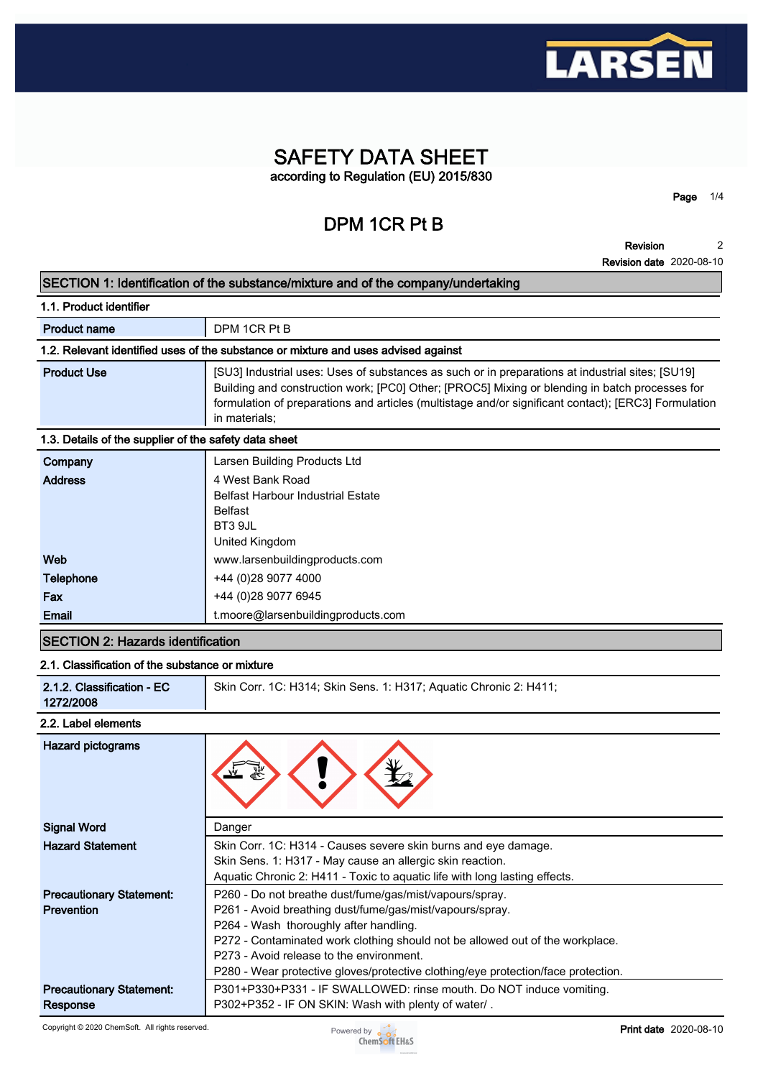

### **SAFETY DATA SHEET according to Regulation (EU) 2015/830**

# **DPM 1CR Pt B**

**Page 1/4**

#### **SECTION 1: Identification of the substance/mixture and of the company/undertaking**

|  | 1.1. Product identifier |  |
|--|-------------------------|--|
|--|-------------------------|--|

| <b>Product name</b> |  |
|---------------------|--|
|---------------------|--|

### **DPM 1CR Pt B 1.2. Relevant identified uses of the substance or mixture and uses advised against**

| <b>Product Use</b> | [SU3] Industrial uses: Uses of substances as such or in preparations at industrial sites; [SU19]<br>Building and construction work; [PC0] Other; [PROC5] Mixing or blending in batch processes for |
|--------------------|----------------------------------------------------------------------------------------------------------------------------------------------------------------------------------------------------|
|                    | formulation of preparations and articles (multistage and/or significant contact); [ERC3] Formulation                                                                                               |
|                    | in materials;                                                                                                                                                                                      |

#### **1.3. Details of the supplier of the safety data sheet**

| Company        | Larsen Building Products Ltd             |  |  |  |
|----------------|------------------------------------------|--|--|--|
| <b>Address</b> | 4 West Bank Road                         |  |  |  |
|                | <b>Belfast Harbour Industrial Estate</b> |  |  |  |
|                | Belfast                                  |  |  |  |
|                | BT3 9JL                                  |  |  |  |
|                | United Kingdom                           |  |  |  |
| Web            | www.larsenbuildingproducts.com           |  |  |  |
| Telephone      | +44 (0)28 9077 4000                      |  |  |  |
| Fax            | +44 (0)28 9077 6945                      |  |  |  |
| Email          | t.moore@larsenbuildingproducts.com       |  |  |  |

#### **SECTION 2: Hazards identification**

#### **2.1. Classification of the substance or mixture**

| 2.1.2. Classification - EC<br>Skin Corr. 1C: H314; Skin Sens. 1: H317; Aquatic Chronic 2: H411;<br>1272/2008 |
|--------------------------------------------------------------------------------------------------------------|
|--------------------------------------------------------------------------------------------------------------|

#### **2.2. Label elements**

| Hazard pictograms               |                                                                                                                                                                                                           |
|---------------------------------|-----------------------------------------------------------------------------------------------------------------------------------------------------------------------------------------------------------|
| <b>Signal Word</b>              | Danger                                                                                                                                                                                                    |
| <b>Hazard Statement</b>         | Skin Corr. 1C: H314 - Causes severe skin burns and eye damage.<br>Skin Sens. 1: H317 - May cause an allergic skin reaction.<br>Aquatic Chronic 2: H411 - Toxic to aquatic life with long lasting effects. |
| <b>Precautionary Statement:</b> | P260 - Do not breathe dust/fume/gas/mist/vapours/spray.                                                                                                                                                   |
| <b>Prevention</b>               | P261 - Avoid breathing dust/fume/gas/mist/vapours/spray.                                                                                                                                                  |
|                                 | P264 - Wash thoroughly after handling.                                                                                                                                                                    |
|                                 | P272 - Contaminated work clothing should not be allowed out of the workplace.                                                                                                                             |
|                                 | P273 - Avoid release to the environment.                                                                                                                                                                  |
|                                 | P280 - Wear protective gloves/protective clothing/eye protection/face protection.                                                                                                                         |
| <b>Precautionary Statement:</b> | P301+P330+P331 - IF SWALLOWED: rinse mouth. Do NOT induce vomiting.                                                                                                                                       |
| Response                        | P302+P352 - IF ON SKIN: Wash with plenty of water/.                                                                                                                                                       |

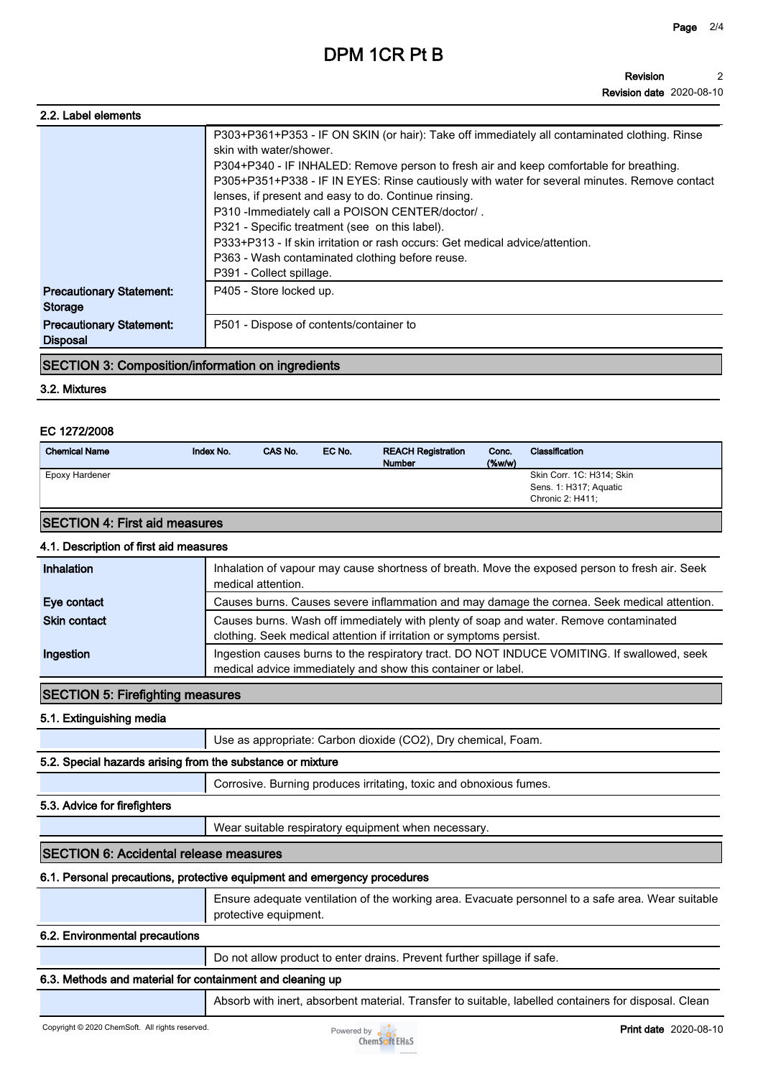## **DPM 1CR Pt B**

| 2.2. Label elements                                |                                                                                                                                                                                                                                                                                                                                                                                                                                                                                                                                                                                                                                                |
|----------------------------------------------------|------------------------------------------------------------------------------------------------------------------------------------------------------------------------------------------------------------------------------------------------------------------------------------------------------------------------------------------------------------------------------------------------------------------------------------------------------------------------------------------------------------------------------------------------------------------------------------------------------------------------------------------------|
|                                                    | P303+P361+P353 - IF ON SKIN (or hair): Take off immediately all contaminated clothing. Rinse<br>skin with water/shower.<br>P304+P340 - IF INHALED: Remove person to fresh air and keep comfortable for breathing.<br>P305+P351+P338 - IF IN EYES: Rinse cautiously with water for several minutes. Remove contact<br>lenses, if present and easy to do. Continue rinsing.<br>P310 - Immediately call a POISON CENTER/doctor/.<br>P321 - Specific treatment (see on this label).<br>P333+P313 - If skin irritation or rash occurs: Get medical advice/attention.<br>P363 - Wash contaminated clothing before reuse.<br>P391 - Collect spillage. |
| <b>Precautionary Statement:</b><br><b>Storage</b>  | P405 - Store locked up.                                                                                                                                                                                                                                                                                                                                                                                                                                                                                                                                                                                                                        |
| <b>Precautionary Statement:</b><br><b>Disposal</b> | P501 - Dispose of contents/container to                                                                                                                                                                                                                                                                                                                                                                                                                                                                                                                                                                                                        |

#### **SECTION 3: Composition/information on ingredients**

**3.2. Mixtures**

#### **EC 1272/2008**

| <b>Chemical Name</b>                 | Index No. | CAS No. | EC No. | <b>REACH Registration</b><br><b>Number</b> | Conc.<br>(% | Classification                                                          |
|--------------------------------------|-----------|---------|--------|--------------------------------------------|-------------|-------------------------------------------------------------------------|
| Epoxy Hardener                       |           |         |        |                                            |             | Skin Corr. 1C: H314; Skin<br>Sens. 1: H317; Aquatic<br>Chronic 2: H411: |
| <b>SECTION 4: First aid measures</b> |           |         |        |                                            |             |                                                                         |

#### **4.1. Description of first aid measures**

| Inhalation          | Inhalation of vapour may cause shortness of breath. Move the exposed person to fresh air. Seek<br>medical attention.                                         |
|---------------------|--------------------------------------------------------------------------------------------------------------------------------------------------------------|
| Eye contact         | Causes burns. Causes severe inflammation and may damage the cornea. Seek medical attention.                                                                  |
| <b>Skin contact</b> | Causes burns. Wash off immediately with plenty of soap and water. Remove contaminated<br>clothing. Seek medical attention if irritation or symptoms persist. |
| Ingestion           | Ingestion causes burns to the respiratory tract. DO NOT INDUCE VOMITING. If swallowed, seek<br>medical advice immediately and show this container or label.  |

#### **SECTION 5: Firefighting measures**

#### **5.1. Extinguishing media**

**Use as appropriate: Carbon dioxide (CO2), Dry chemical, Foam.**

#### **5.2. Special hazards arising from the substance or mixture**

**Corrosive. Burning produces irritating, toxic and obnoxious fumes.**

#### **5.3. Advice for firefighters**

**Wear suitable respiratory equipment when necessary.**

#### **SECTION 6: Accidental release measures**

#### **6.1. Personal precautions, protective equipment and emergency procedures**

**Ensure adequate ventilation of the working area. Evacuate personnel to a safe area. Wear suitable protective equipment.**

#### **6.2. Environmental precautions**

**Do not allow product to enter drains. Prevent further spillage if safe.**

#### **6.3. Methods and material for containment and cleaning up**

**Absorb with inert, absorbent material. Transfer to suitable, labelled containers for disposal. Clean** 

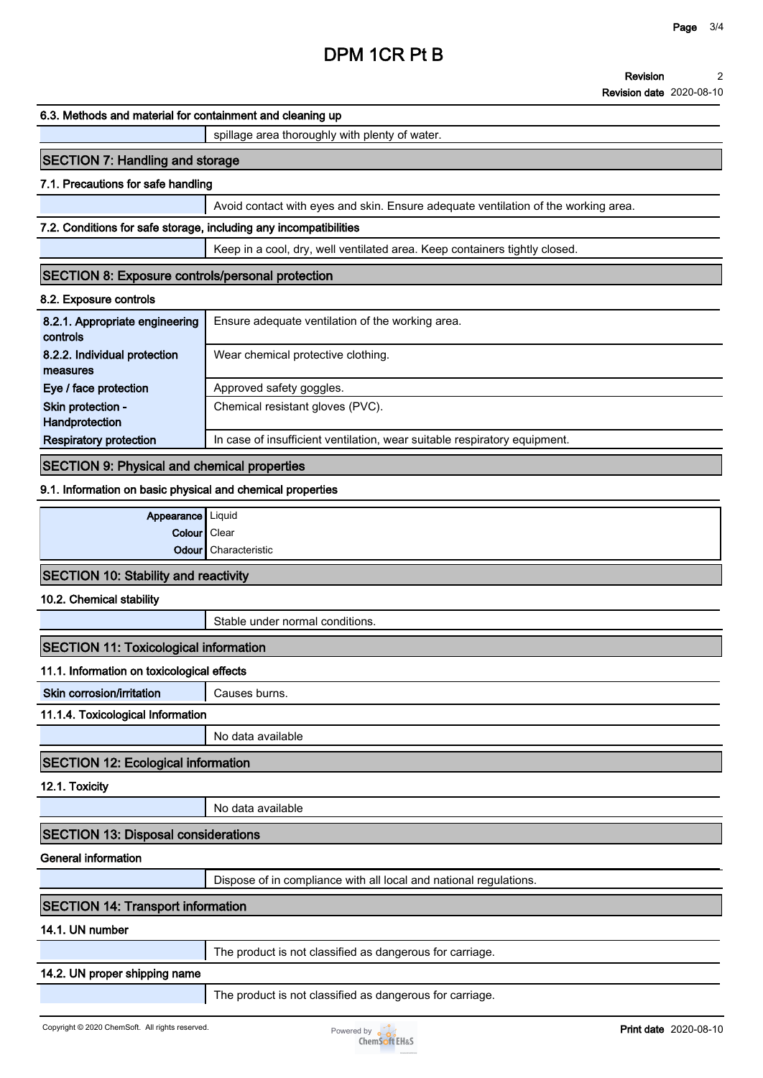### **DPM 1CR Pt B**

#### **Revision 2**

#### **Revision date 2020-08-10**

#### **6.3. Methods and material for containment and cleaning up**

#### **spillage area thoroughly with plenty of water.**

#### **SECTION 7: Handling and storage**

#### **7.1. Precautions for safe handling**

**Avoid contact with eyes and skin. Ensure adequate ventilation of the working area.**

#### **7.2. Conditions for safe storage, including any incompatibilities**

**Keep in a cool, dry, well ventilated area. Keep containers tightly closed.**

#### **SECTION 8: Exposure controls/personal protection**

#### **8.2. Exposure controls**

| 8.2.1. Appropriate engineering<br>controls | Ensure adequate ventilation of the working area.                          |
|--------------------------------------------|---------------------------------------------------------------------------|
| 8.2.2. Individual protection               | Wear chemical protective clothing.                                        |
| measures                                   |                                                                           |
| Eye / face protection                      | Approved safety goggles.                                                  |
| Skin protection -                          | Chemical resistant gloves (PVC).                                          |
| Handprotection                             |                                                                           |
| <b>Respiratory protection</b>              | In case of insufficient ventilation, wear suitable respiratory equipment. |

#### **SECTION 9: Physical and chemical properties**

#### **9.1. Information on basic physical and chemical properties**

| <b>Appearance</b> Liquid                    |                             |
|---------------------------------------------|-----------------------------|
| Colour Clear                                |                             |
|                                             | <b>Odour</b> Characteristic |
| <b>SECTION 10: Stability and reactivity</b> |                             |

#### **10.2. Chemical stability**

**Stable under normal conditions.**

#### **SECTION 11: Toxicological information**

#### **11.1. Information on toxicological effects**

**Skin corrosion/irritation** | Causes burns.

#### **11.1.4. Toxicological Information**

**No data available**

#### **SECTION 12: Ecological information**

**12.1. Toxicity**

**No data available**

#### **SECTION 13: Disposal considerations**

#### **General information**

**Dispose of in compliance with all local and national regulations.**

#### **SECTION 14: Transport information**

#### **14.1. UN number**

**The product is not classified as dangerous for carriage.**

#### **14.2. UN proper shipping name**

**The product is not classified as dangerous for carriage.**